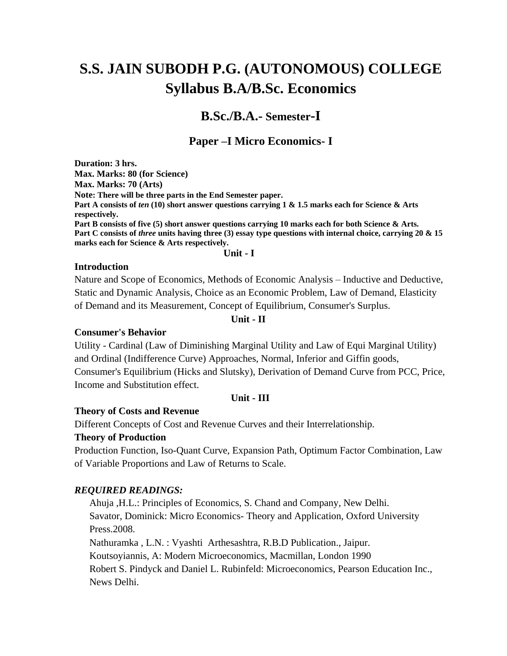# **S.S. JAIN SUBODH P.G. (AUTONOMOUS) COLLEGE Syllabus B.A/B.Sc. Economics**

## **B.Sc./B.A.- Semester-I**

### **Paper –I Micro Economics- I**

**Duration: 3 hrs. Max. Marks: 80 (for Science) Max. Marks: 70 (Arts) Note: There will be three parts in the End Semester paper. Part A consists of** *ten* **(10) short answer questions carrying 1 & 1.5 marks each for Science & Arts respectively. Part B consists of five (5) short answer questions carrying 10 marks each for both Science & Arts. Part C consists of** *three* **units having three (3) essay type questions with internal choice, carrying 20 & 15 marks each for Science & Arts respectively.**

**Unit - I**

### **Introduction**

Nature and Scope of Economics, Methods of Economic Analysis – Inductive and Deductive, Static and Dynamic Analysis, Choice as an Economic Problem, Law of Demand, Elasticity of Demand and its Measurement, Concept of Equilibrium, Consumer's Surplus.

### **Unit - II**

### **Consumer's Behavior**

Utility - Cardinal (Law of Diminishing Marginal Utility and Law of Equi Marginal Utility) and Ordinal (Indifference Curve) Approaches, Normal, Inferior and Giffin goods, Consumer's Equilibrium (Hicks and Slutsky), Derivation of Demand Curve from PCC, Price, Income and Substitution effect.

### **Unit - III**

### **Theory of Costs and Revenue**

Different Concepts of Cost and Revenue Curves and their Interrelationship.

### **Theory of Production**

Production Function, Iso-Quant Curve, Expansion Path, Optimum Factor Combination, Law of Variable Proportions and Law of Returns to Scale.

### *REQUIRED READINGS:*

Ahuja ,H.L.: Principles of Economics, S. Chand and Company, New Delhi. Savator, Dominick: Micro Economics- Theory and Application, Oxford University Press.2008.

Nathuramka , L.N. : Vyashti Arthesashtra, R.B.D Publication., Jaipur. Koutsoyiannis, A: Modern Microeconomics, Macmillan, London 1990 Robert S. Pindyck and Daniel L. Rubinfeld: Microeconomics, Pearson Education Inc., News Delhi.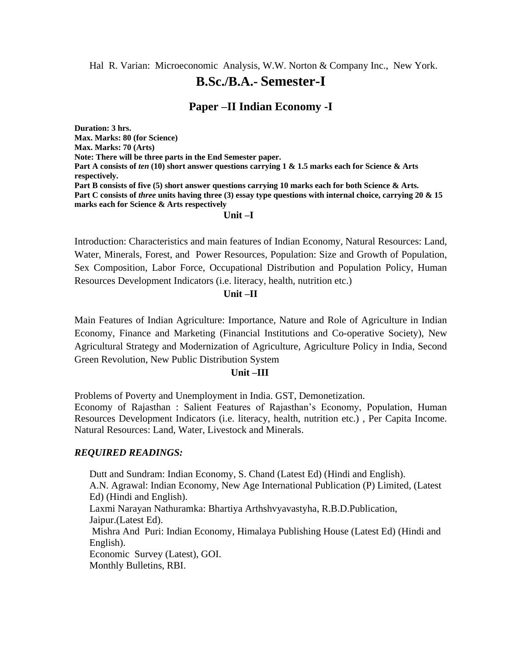Hal R. Varian: Microeconomic Analysis, W.W. Norton & Company Inc., New York.

## **B.Sc./B.A.- Semester-I**

### **Paper –II Indian Economy -I**

**Duration: 3 hrs. Max. Marks: 80 (for Science) Max. Marks: 70 (Arts) Note: There will be three parts in the End Semester paper. Part A consists of** *ten* **(10) short answer questions carrying 1 & 1.5 marks each for Science & Arts respectively. Part B consists of five (5) short answer questions carrying 10 marks each for both Science & Arts. Part C consists of** *three* **units having three (3) essay type questions with internal choice, carrying 20 & 15 marks each for Science & Arts respectively** 

### **Unit –I**

Introduction: Characteristics and main features of Indian Economy, Natural Resources: Land, Water, Minerals, Forest, and Power Resources, Population: Size and Growth of Population, Sex Composition, Labor Force, Occupational Distribution and Population Policy, Human Resources Development Indicators (i.e. literacy, health, nutrition etc.)

### **Unit –II**

Main Features of Indian Agriculture: Importance, Nature and Role of Agriculture in Indian Economy, Finance and Marketing (Financial Institutions and Co-operative Society), New Agricultural Strategy and Modernization of Agriculture, Agriculture Policy in India, Second Green Revolution, New Public Distribution System

### **Unit –III**

Problems of Poverty and Unemployment in India. GST, Demonetization.

Economy of Rajasthan : Salient Features of Rajasthan's Economy, Population, Human Resources Development Indicators (i.e. literacy, health, nutrition etc.) , Per Capita Income. Natural Resources: Land, Water, Livestock and Minerals.

### *REQUIRED READINGS:*

Dutt and Sundram: Indian Economy, S. Chand (Latest Ed) (Hindi and English). A.N. Agrawal: Indian Economy, New Age International Publication (P) Limited, (Latest Ed) (Hindi and English). Laxmi Narayan Nathuramka: Bhartiya Arthshvyavastyha, R.B.D.Publication, Jaipur.(Latest Ed). Mishra And Puri: Indian Economy, Himalaya Publishing House (Latest Ed) (Hindi and English). Economic Survey (Latest), GOI. Monthly Bulletins, RBI.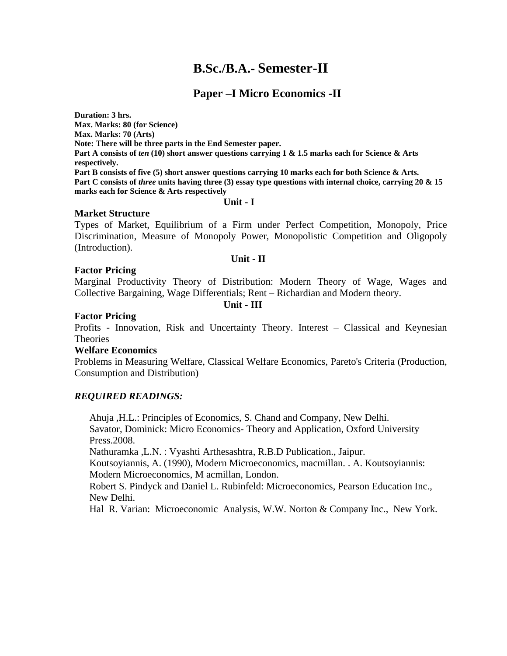## **B.Sc./B.A.- Semester-II**

### **Paper –I Micro Economics -II**

**Duration: 3 hrs. Max. Marks: 80 (for Science) Max. Marks: 70 (Arts) Note: There will be three parts in the End Semester paper. Part A consists of** *ten* **(10) short answer questions carrying 1 & 1.5 marks each for Science & Arts respectively. Part B consists of five (5) short answer questions carrying 10 marks each for both Science & Arts. Part C consists of** *three* **units having three (3) essay type questions with internal choice, carrying 20 & 15 marks each for Science & Arts respectively** 

### **Unit - I**

### **Market Structure**

Types of Market, Equilibrium of a Firm under Perfect Competition, Monopoly, Price Discrimination, Measure of Monopoly Power, Monopolistic Competition and Oligopoly (Introduction).

### **Unit - II**

### **Factor Pricing**

Marginal Productivity Theory of Distribution: Modern Theory of Wage, Wages and Collective Bargaining, Wage Differentials; Rent – Richardian and Modern theory.

**Unit - III**

### **Factor Pricing**

Profits - Innovation, Risk and Uncertainty Theory. Interest – Classical and Keynesian **Theories** 

### **Welfare Economics**

Problems in Measuring Welfare, Classical Welfare Economics, Pareto's Criteria (Production, Consumption and Distribution)

### *REQUIRED READINGS:*

Ahuja ,H.L.: Principles of Economics, S. Chand and Company, New Delhi. Savator, Dominick: Micro Economics- Theory and Application, Oxford University Press.2008.

Nathuramka ,L.N. : Vyashti Arthesashtra, R.B.D Publication., Jaipur.

Koutsoyiannis, A. (1990), Modern Microeconomics, macmillan. . A. Koutsoyiannis: Modern Microeconomics, M acmillan, London.

Robert S. Pindyck and Daniel L. Rubinfeld: Microeconomics, Pearson Education Inc., New Delhi.

Hal R. Varian: Microeconomic Analysis, W.W. Norton & Company Inc., New York.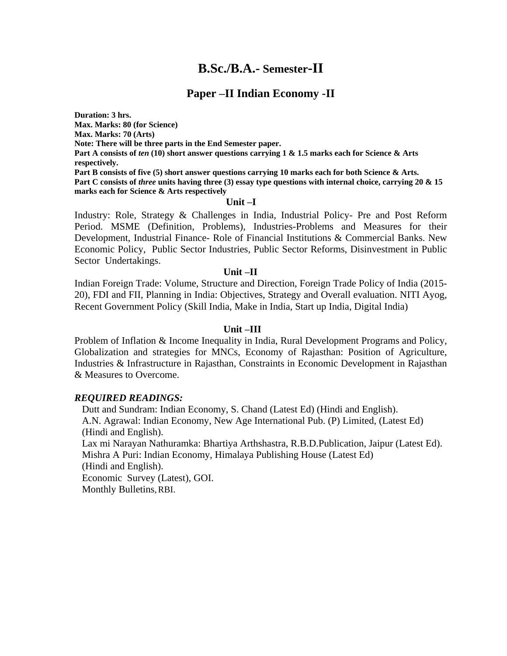## **B.Sc./B.A.- Semester-II**

### **Paper –II Indian Economy -II**

**Duration: 3 hrs. Max. Marks: 80 (for Science) Max. Marks: 70 (Arts) Note: There will be three parts in the End Semester paper. Part A consists of** *ten* **(10) short answer questions carrying 1 & 1.5 marks each for Science & Arts respectively. Part B consists of five (5) short answer questions carrying 10 marks each for both Science & Arts. Part C consists of** *three* **units having three (3) essay type questions with internal choice, carrying 20 & 15 marks each for Science & Arts respectively** 

#### **Unit –I**

Industry: Role, Strategy & Challenges in India, Industrial Policy- Pre and Post Reform Period. MSME (Definition, Problems), Industries-Problems and Measures for their Development, Industrial Finance- Role of Financial Institutions & Commercial Banks. New Economic Policy, Public Sector Industries, Public Sector Reforms, Disinvestment in Public Sector Undertakings.

#### **Unit –II**

Indian Foreign Trade: Volume, Structure and Direction, Foreign Trade Policy of India (2015- 20), FDI and FII, Planning in India: Objectives, Strategy and Overall evaluation. NITI Ayog, Recent Government Policy (Skill India, Make in India, Start up India, Digital India)

#### **Unit –III**

Problem of Inflation & Income Inequality in India, Rural Development Programs and Policy, Globalization and strategies for MNCs, Economy of Rajasthan: Position of Agriculture, Industries & Infrastructure in Rajasthan, Constraints in Economic Development in Rajasthan & Measures to Overcome.

#### *REQUIRED READINGS:*

Dutt and Sundram: Indian Economy, S. Chand (Latest Ed) (Hindi and English). A.N. Agrawal: Indian Economy, New Age International Pub. (P) Limited, (Latest Ed) (Hindi and English). Lax mi Narayan Nathuramka: Bhartiya Arthshastra, R.B.D.Publication, Jaipur (Latest Ed). Mishra A Puri: Indian Economy, Himalaya Publishing House (Latest Ed) (Hindi and English). Economic Survey (Latest), GOI. Monthly Bulletins, RBI.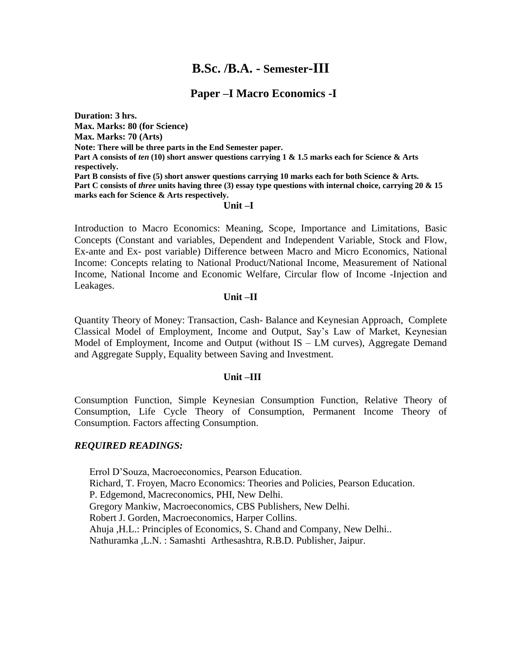## **B.Sc. /B.A. - Semester-III**

### **Paper –I Macro Economics -I**

**Duration: 3 hrs. Max. Marks: 80 (for Science) Max. Marks: 70 (Arts) Note: There will be three parts in the End Semester paper. Part A consists of** *ten* **(10) short answer questions carrying 1 & 1.5 marks each for Science & Arts respectively. Part B consists of five (5) short answer questions carrying 10 marks each for both Science & Arts. Part C consists of** *three* **units having three (3) essay type questions with internal choice, carrying 20 & 15 marks each for Science & Arts respectively.**

### **Unit –I**

Introduction to Macro Economics: Meaning, Scope, Importance and Limitations, Basic Concepts (Constant and variables, Dependent and Independent Variable, Stock and Flow, Ex-ante and Ex- post variable) Difference between Macro and Micro Economics, National Income: Concepts relating to National Product/National Income, Measurement of National Income, National Income and Economic Welfare, Circular flow of Income -Injection and Leakages.

### **Unit –II**

Quantity Theory of Money: Transaction, Cash- Balance and Keynesian Approach, Complete Classical Model of Employment, Income and Output, Say's Law of Market, Keynesian Model of Employment, Income and Output (without IS – LM curves), Aggregate Demand and Aggregate Supply, Equality between Saving and Investment.

### **Unit –III**

Consumption Function, Simple Keynesian Consumption Function, Relative Theory of Consumption, Life Cycle Theory of Consumption, Permanent Income Theory of Consumption. Factors affecting Consumption.

### *REQUIRED READINGS:*

Errol D'Souza, Macroeconomics, Pearson Education. Richard, T. Froyen, Macro Economics: Theories and Policies, Pearson Education. P. Edgemond, Macreconomics, PHI, New Delhi. Gregory Mankiw, Macroeconomics, CBS Publishers, New Delhi. Robert J. Gorden, Macroeconomics, Harper Collins. Ahuja ,H.L.: Principles of Economics, S. Chand and Company, New Delhi.. Nathuramka ,L.N. : Samashti Arthesashtra, R.B.D. Publisher, Jaipur.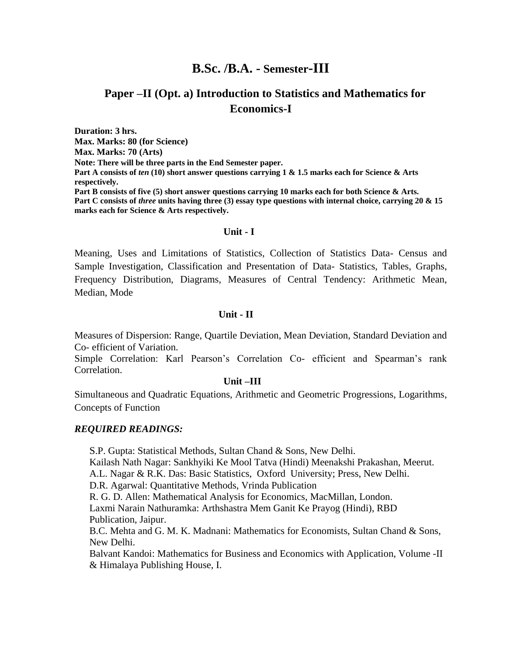## **B.Sc. /B.A. - Semester-III**

### **Paper –II (Opt. a) Introduction to Statistics and Mathematics for Economics-I**

**Duration: 3 hrs. Max. Marks: 80 (for Science) Max. Marks: 70 (Arts) Note: There will be three parts in the End Semester paper. Part A consists of** *ten* **(10) short answer questions carrying 1 & 1.5 marks each for Science & Arts respectively. Part B consists of five (5) short answer questions carrying 10 marks each for both Science & Arts. Part C consists of** *three* **units having three (3) essay type questions with internal choice, carrying 20 & 15 marks each for Science & Arts respectively.**

#### **Unit - I**

Meaning, Uses and Limitations of Statistics, Collection of Statistics Data- Census and Sample Investigation, Classification and Presentation of Data- Statistics, Tables, Graphs, Frequency Distribution, Diagrams, Measures of Central Tendency: Arithmetic Mean, Median, Mode

#### **Unit - II**

Measures of Dispersion: Range, Quartile Deviation, Mean Deviation, Standard Deviation and Co- efficient of Variation.

Simple Correlation: Karl Pearson's Correlation Co- efficient and Spearman's rank Correlation.

#### **Unit –III**

Simultaneous and Quadratic Equations, Arithmetic and Geometric Progressions, Logarithms, Concepts of Function

### *REQUIRED READINGS:*

S.P. Gupta: Statistical Methods, Sultan Chand & Sons, New Delhi.

Kailash Nath Nagar: Sankhyiki Ke Mool Tatva (Hindi) Meenakshi Prakashan, Meerut. A.L. Nagar & R.K. Das: Basic Statistics, Oxford University; Press, New Delhi.

D.R. Agarwal: Quantitative Methods, Vrinda Publication

R. G. D. Allen: Mathematical Analysis for Economics, MacMillan, London.

Laxmi Narain Nathuramka: Arthshastra Mem Ganit Ke Prayog (Hindi), RBD Publication, Jaipur.

B.C. Mehta and G. M. K. Madnani: Mathematics for Economists, Sultan Chand & Sons, New Delhi.

Balvant Kandoi: Mathematics for Business and Economics with Application, Volume -II & Himalaya Publishing House, I.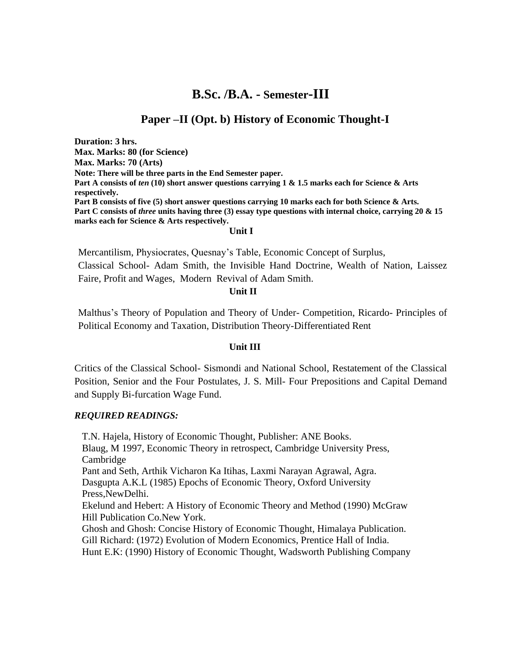## **B.Sc. /B.A. - Semester-III**

### **Paper –II (Opt. b) History of Economic Thought-I**

**Duration: 3 hrs. Max. Marks: 80 (for Science) Max. Marks: 70 (Arts) Note: There will be three parts in the End Semester paper. Part A consists of** *ten* **(10) short answer questions carrying 1 & 1.5 marks each for Science & Arts respectively. Part B consists of five (5) short answer questions carrying 10 marks each for both Science & Arts. Part C consists of** *three* **units having three (3) essay type questions with internal choice, carrying 20 & 15 marks each for Science & Arts respectively.**

#### **Unit I**

Mercantilism, Physiocrates, Quesnay's Table, Economic Concept of Surplus,

Classical School- Adam Smith, the Invisible Hand Doctrine, Wealth of Nation, Laissez Faire, Profit and Wages, Modern Revival of Adam Smith.

### **Unit II**

Malthus's Theory of Population and Theory of Under- Competition, Ricardo- Principles of Political Economy and Taxation, Distribution Theory-Differentiated Rent

### **Unit III**

Critics of the Classical School- Sismondi and National School, Restatement of the Classical Position, Senior and the Four Postulates, J. S. Mill- Four Prepositions and Capital Demand and Supply Bi-furcation Wage Fund.

### *REQUIRED READINGS:*

[T.N. Hajela,](https://www.amazon.com/s/ref=dp_byline_sr_book_1?ie=UTF8&text=T.N.+Hajela&search-alias=books&field-author=T.N.+Hajela&sort=relevancerank) History of Economic Thought, Publisher: ANE Books. Blaug, M 1997, Economic Theory in retrospect, Cambridge University Press, Cambridge Pant and Seth, Arthik Vicharon Ka Itihas, Laxmi Narayan Agrawal, Agra. Dasgupta A.K.L (1985) Epochs of Economic Theory, Oxford University Press,NewDelhi. Ekelund and Hebert: A History of Economic Theory and Method (1990) McGraw Hill Publication Co.New York. Ghosh and Ghosh: Concise History of Economic Thought, Himalaya Publication. Gill Richard: (1972) Evolution of Modern Economics, Prentice Hall of India. Hunt E.K: (1990) History of Economic Thought, Wadsworth Publishing Company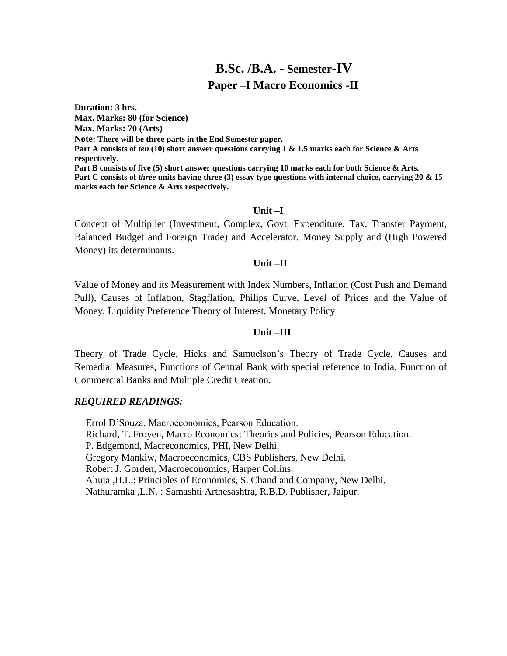## **B.Sc. /B.A. - Semester-IV Paper –I Macro Economics -II**

**Duration: 3 hrs. Max. Marks: 80 (for Science) Max. Marks: 70 (Arts) Note: There will be three parts in the End Semester paper. Part A consists of** *ten* **(10) short answer questions carrying 1 & 1.5 marks each for Science & Arts respectively. Part B consists of five (5) short answer questions carrying 10 marks each for both Science & Arts. Part C consists of** *three* **units having three (3) essay type questions with internal choice, carrying 20 & 15 marks each for Science & Arts respectively.**

### **Unit –I**

Concept of Multiplier (Investment, Complex, Govt, Expenditure, Tax, Transfer Payment, Balanced Budget and Foreign Trade) and Accelerator. Money Supply and (High Powered Money) its determinants.

### **Unit –II**

Value of Money and its Measurement with Index Numbers, Inflation (Cost Push and Demand Pull), Causes of Inflation, Stagflation, Philips Curve, Level of Prices and the Value of Money, Liquidity Preference Theory of Interest, Monetary Policy

### **Unit –III**

Theory of Trade Cycle, Hicks and Samuelson's Theory of Trade Cycle, Causes and Remedial Measures, Functions of Central Bank with special reference to India, Function of Commercial Banks and Multiple Credit Creation.

### *REQUIRED READINGS:*

Errol D'Souza, Macroeconomics, Pearson Education. Richard, T. Froyen, Macro Economics: Theories and Policies, Pearson Education. P. Edgemond, Macreconomics, PHI, New Delhi. Gregory Mankiw, Macroeconomics, CBS Publishers, New Delhi. Robert J. Gorden, Macroeconomics, Harper Collins. Ahuja ,H.L.: Principles of Economics, S. Chand and Company, New Delhi. Nathuramka ,L.N. : Samashti Arthesashtra, R.B.D. Publisher, Jaipur.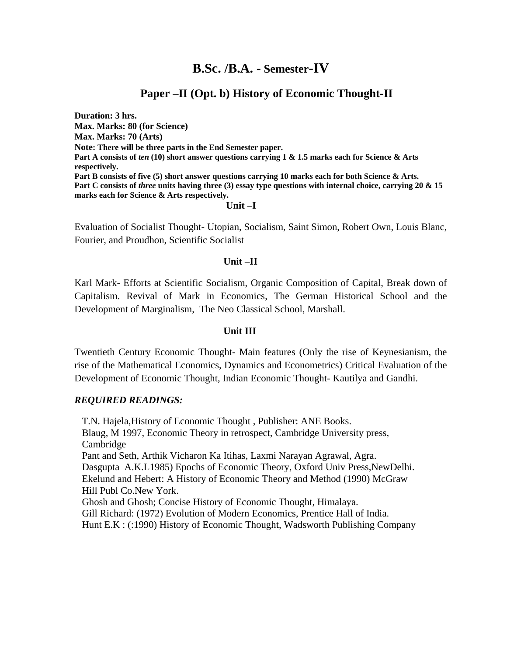## **B.Sc. /B.A. - Semester-IV**

### **Paper –II (Opt. b) History of Economic Thought-II**

**Duration: 3 hrs. Max. Marks: 80 (for Science) Max. Marks: 70 (Arts) Note: There will be three parts in the End Semester paper. Part A consists of** *ten* **(10) short answer questions carrying 1 & 1.5 marks each for Science & Arts respectively. Part B consists of five (5) short answer questions carrying 10 marks each for both Science & Arts. Part C consists of** *three* **units having three (3) essay type questions with internal choice, carrying 20 & 15 marks each for Science & Arts respectively.**

### **Unit –I**

Evaluation of Socialist Thought- Utopian, Socialism, Saint Simon, Robert Own, Louis Blanc, Fourier, and Proudhon, Scientific Socialist

### **Unit –II**

Karl Mark- Efforts at Scientific Socialism, Organic Composition of Capital, Break down of Capitalism. Revival of Mark in Economics, The German Historical School and the Development of Marginalism, The Neo Classical School, Marshall.

### **Unit III**

Twentieth Century Economic Thought- Main features (Only the rise of Keynesianism, the rise of the Mathematical Economics, Dynamics and Econometrics) Critical Evaluation of the Development of Economic Thought, Indian Economic Thought- Kautilya and Gandhi.

### *REQUIRED READINGS:*

[T.N. Hajela,](https://www.amazon.com/s/ref=dp_byline_sr_book_1?ie=UTF8&text=T.N.+Hajela&search-alias=books&field-author=T.N.+Hajela&sort=relevancerank)History of Economic Thought , Publisher: ANE Books. Blaug, M 1997, Economic Theory in retrospect, Cambridge University press, Cambridge Pant and Seth, Arthik Vicharon Ka Itihas, Laxmi Narayan Agrawal, Agra. Dasgupta A.K.L1985) Epochs of Economic Theory, Oxford Univ Press,NewDelhi. Ekelund and Hebert: A History of Economic Theory and Method (1990) McGraw Hill Publ Co.New York. Ghosh and Ghosh; Concise History of Economic Thought, Himalaya. Gill Richard: (1972) Evolution of Modern Economics, Prentice Hall of India. Hunt E.K : (:1990) History of Economic Thought, Wadsworth Publishing Company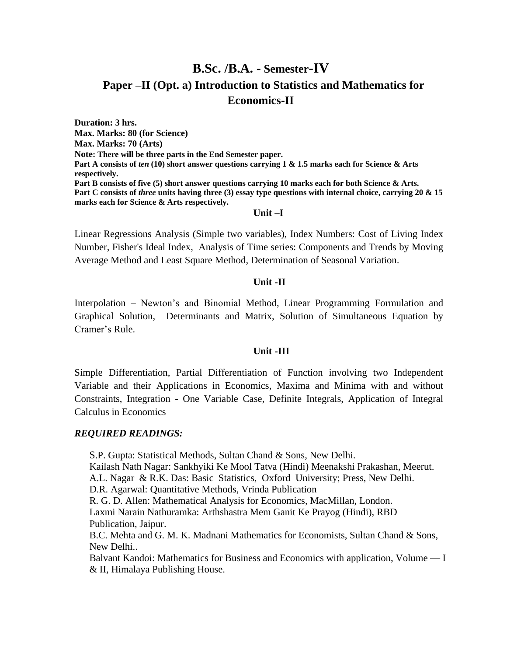## **B.Sc. /B.A. - Semester-IV Paper –II (Opt. a) Introduction to Statistics and Mathematics for Economics-II**

**Duration: 3 hrs. Max. Marks: 80 (for Science) Max. Marks: 70 (Arts) Note: There will be three parts in the End Semester paper. Part A consists of** *ten* **(10) short answer questions carrying 1 & 1.5 marks each for Science & Arts respectively. Part B consists of five (5) short answer questions carrying 10 marks each for both Science & Arts. Part C consists of** *three* **units having three (3) essay type questions with internal choice, carrying 20 & 15 marks each for Science & Arts respectively.**

### **Unit –I**

Linear Regressions Analysis (Simple two variables), Index Numbers: Cost of Living Index Number, Fisher's Ideal Index, Analysis of Time series: Components and Trends by Moving Average Method and Least Square Method, Determination of Seasonal Variation.

### **Unit -II**

Interpolation – Newton's and Binomial Method, Linear Programming Formulation and Graphical Solution, Determinants and Matrix, Solution of Simultaneous Equation by Cramer's Rule.

### **Unit -III**

Simple Differentiation, Partial Differentiation of Function involving two Independent Variable and their Applications in Economics, Maxima and Minima with and without Constraints, Integration - One Variable Case, Definite Integrals, Application of Integral Calculus in Economics

### *REQUIRED READINGS:*

S.P. Gupta: Statistical Methods, Sultan Chand & Sons, New Delhi.

Kailash Nath Nagar: Sankhyiki Ke Mool Tatva (Hindi) Meenakshi Prakashan, Meerut.

A.L. Nagar & R.K. Das: Basic Statistics, Oxford University; Press, New Delhi.

D.R. Agarwal: Quantitative Methods, Vrinda Publication

R. G. D. Allen: Mathematical Analysis for Economics, MacMillan, London.

Laxmi Narain Nathuramka: Arthshastra Mem Ganit Ke Prayog (Hindi), RBD Publication, Jaipur.

B.C. Mehta and G. M. K. Madnani Mathematics for Economists, Sultan Chand & Sons, New Delhi..

Balvant Kandoi: Mathematics for Business and Economics with application, Volume — I & II, Himalaya Publishing House.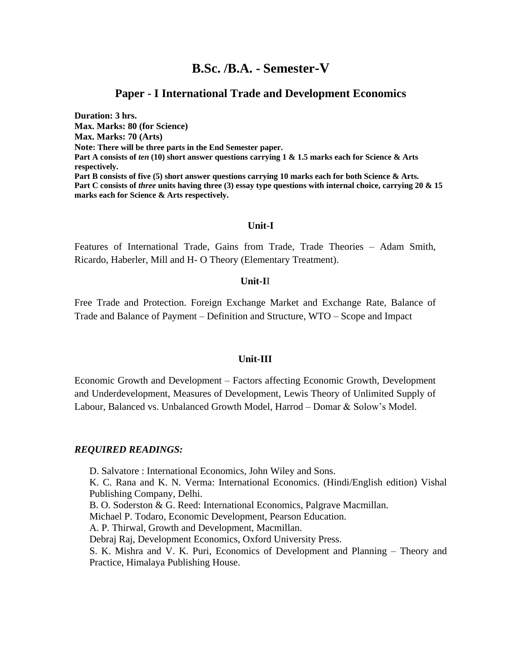### **B.Sc. /B.A. - Semester-V**

### **Paper - I International Trade and Development Economics**

**Duration: 3 hrs. Max. Marks: 80 (for Science) Max. Marks: 70 (Arts) Note: There will be three parts in the End Semester paper. Part A consists of** *ten* **(10) short answer questions carrying 1 & 1.5 marks each for Science & Arts respectively. Part B consists of five (5) short answer questions carrying 10 marks each for both Science & Arts. Part C consists of** *three* **units having three (3) essay type questions with internal choice, carrying 20 & 15 marks each for Science & Arts respectively.**

### **Unit-I**

Features of International Trade, Gains from Trade, Trade Theories – Adam Smith, Ricardo, Haberler, Mill and H- O Theory (Elementary Treatment).

#### **Unit-I**I

Free Trade and Protection. Foreign Exchange Market and Exchange Rate, Balance of Trade and Balance of Payment – Definition and Structure, WTO – Scope and Impact

#### **Unit-III**

Economic Growth and Development – Factors affecting Economic Growth, Development and Underdevelopment, Measures of Development, Lewis Theory of Unlimited Supply of Labour, Balanced vs. Unbalanced Growth Model, Harrod – Domar & Solow's Model.

#### *REQUIRED READINGS:*

D. Salvatore : International Economics, John Wiley and Sons. K. C. Rana and K. N. Verma: International Economics. (Hindi/English edition) Vishal Publishing Company, Delhi.

B. O. Soderston & G. Reed: International Economics, Palgrave Macmillan.

Michael P. Todaro, Economic Development, Pearson Education.

A. P. Thirwal, Growth and Development, Macmillan.

Debraj Raj, Development Economics, Oxford University Press.

S. K. Mishra and V. K. Puri, Economics of Development and Planning – Theory and Practice, Himalaya Publishing House.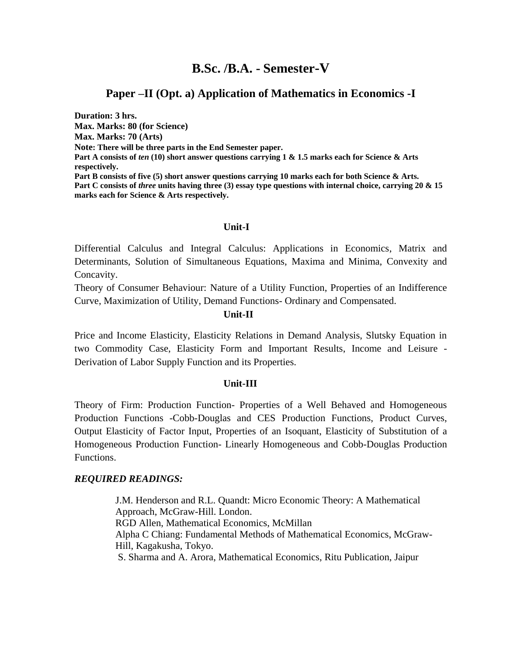## **B.Sc. /B.A. - Semester-V**

### **Paper –II (Opt. a) Application of Mathematics in Economics -I**

**Duration: 3 hrs. Max. Marks: 80 (for Science) Max. Marks: 70 (Arts) Note: There will be three parts in the End Semester paper. Part A consists of** *ten* **(10) short answer questions carrying 1 & 1.5 marks each for Science & Arts respectively. Part B consists of five (5) short answer questions carrying 10 marks each for both Science & Arts. Part C consists of** *three* **units having three (3) essay type questions with internal choice, carrying 20 & 15 marks each for Science & Arts respectively.**

### **Unit-I**

Differential Calculus and Integral Calculus: Applications in Economics, Matrix and Determinants, Solution of Simultaneous Equations, Maxima and Minima, Convexity and Concavity.

Theory of Consumer Behaviour: Nature of a Utility Function, Properties of an Indifference Curve, Maximization of Utility, Demand Functions- Ordinary and Compensated.

### **Unit-II**

Price and Income Elasticity, Elasticity Relations in Demand Analysis, Slutsky Equation in two Commodity Case, Elasticity Form and Important Results, Income and Leisure - Derivation of Labor Supply Function and its Properties.

### **Unit-III**

Theory of Firm: Production Function- Properties of a Well Behaved and Homogeneous Production Functions -Cobb-Douglas and CES Production Functions, Product Curves, Output Elasticity of Factor Input, Properties of an Isoquant, Elasticity of Substitution of a Homogeneous Production Function- Linearly Homogeneous and Cobb-Douglas Production Functions.

### *REQUIRED READINGS:*

J.M. Henderson and R.L. Quandt: Micro Economic Theory: A Mathematical Approach, McGraw-Hill. London. RGD Allen, Mathematical Economics, McMillan Alpha C Chiang: Fundamental Methods of Mathematical Economics, McGraw-Hill, Kagakusha, Tokyo. S. Sharma and A. Arora, Mathematical Economics, Ritu Publication, Jaipur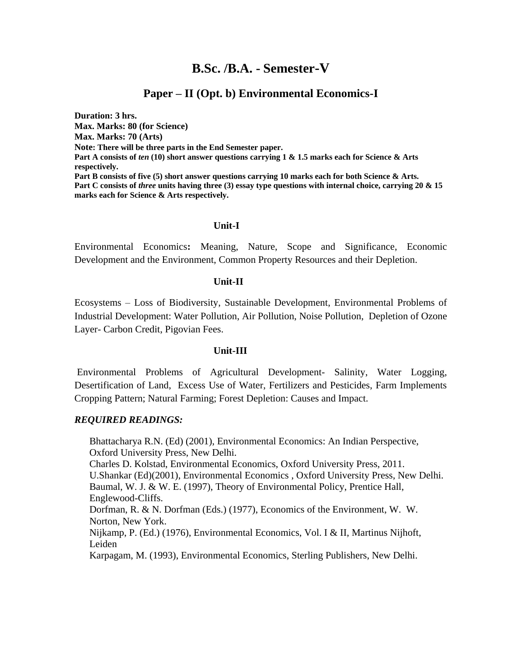## **B.Sc. /B.A. - Semester-V**

### **Paper – II (Opt. b) Environmental Economics-I**

**Duration: 3 hrs. Max. Marks: 80 (for Science) Max. Marks: 70 (Arts) Note: There will be three parts in the End Semester paper. Part A consists of** *ten* **(10) short answer questions carrying 1 & 1.5 marks each for Science & Arts respectively. Part B consists of five (5) short answer questions carrying 10 marks each for both Science & Arts. Part C consists of** *three* **units having three (3) essay type questions with internal choice, carrying 20 & 15 marks each for Science & Arts respectively.**

### **Unit-I**

Environmental Economics**:** Meaning, Nature, Scope and Significance, Economic Development and the Environment, Common Property Resources and their Depletion.

### **Unit-II**

Ecosystems – Loss of Biodiversity, Sustainable Development, Environmental Problems of Industrial Development: Water Pollution, Air Pollution, Noise Pollution, Depletion of Ozone Layer- Carbon Credit, Pigovian Fees.

### **Unit-III**

Environmental Problems of Agricultural Development- Salinity, Water Logging, Desertification of Land, Excess Use of Water, Fertilizers and Pesticides, Farm Implements Cropping Pattern; Natural Farming; Forest Depletion: Causes and Impact.

### *REQUIRED READINGS:*

Bhattacharya R.N. (Ed) (2001), Environmental Economics: An Indian Perspective, Oxford University Press, New Delhi.

[Charles D. Kolstad,](https://www.google.co.in/search?tbo=p&tbm=bks&q=inauthor:%22Charles+D.+Kolstad%22) Environmental Economics, Oxford University Press, 2011. U.Shankar (Ed)(2001), Environmental Economics , Oxford University Press, New Delhi. Baumal, W. J. & W. E. (1997), Theory of Environmental Policy, Prentice Hall, Englewood-Cliffs.

Dorfman, R. & N. Dorfman (Eds.) (1977), Economics of the Environment, W. W. Norton, New York.

Nijkamp, P. (Ed.) (1976), Environmental Economics, Vol. I & II, Martinus Nijhoft, Leiden

Karpagam, M. (1993), Environmental Economics, Sterling Publishers, New Delhi.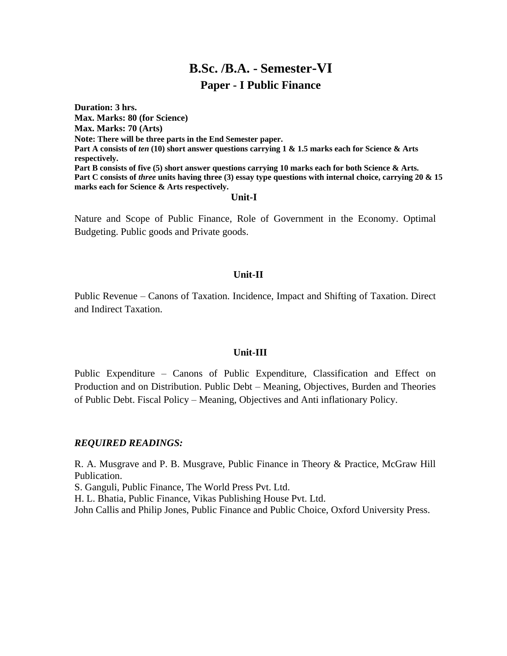## **B.Sc. /B.A. - Semester-VI Paper - I Public Finance**

**Duration: 3 hrs. Max. Marks: 80 (for Science) Max. Marks: 70 (Arts) Note: There will be three parts in the End Semester paper. Part A consists of** *ten* **(10) short answer questions carrying 1 & 1.5 marks each for Science & Arts respectively. Part B consists of five (5) short answer questions carrying 10 marks each for both Science & Arts. Part C consists of** *three* **units having three (3) essay type questions with internal choice, carrying 20 & 15 marks each for Science & Arts respectively. Unit-I**

Nature and Scope of Public Finance, Role of Government in the Economy. Optimal Budgeting. Public goods and Private goods.

### **Unit-II**

Public Revenue – Canons of Taxation. Incidence, Impact and Shifting of Taxation. Direct and Indirect Taxation.

### **Unit-III**

Public Expenditure – Canons of Public Expenditure, Classification and Effect on Production and on Distribution. Public Debt – Meaning, Objectives, Burden and Theories of Public Debt. Fiscal Policy – Meaning, Objectives and Anti inflationary Policy.

### *REQUIRED READINGS:*

R. A. Musgrave and P. B. Musgrave, Public Finance in Theory & Practice, McGraw Hill Publication.

S. Ganguli, Public Finance, The World Press Pvt. Ltd.

H. L. Bhatia, Public Finance, Vikas Publishing House Pvt. Ltd.

John Callis and Philip Jones, Public Finance and Public Choice, Oxford University Press.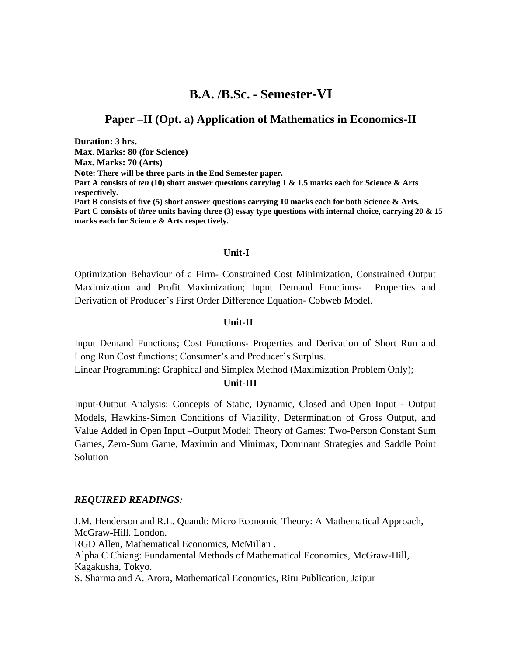## **B.A. /B.Sc. - Semester-VI**

### **Paper –II (Opt. a) Application of Mathematics in Economics-II**

**Duration: 3 hrs. Max. Marks: 80 (for Science) Max. Marks: 70 (Arts) Note: There will be three parts in the End Semester paper. Part A consists of** *ten* **(10) short answer questions carrying 1 & 1.5 marks each for Science & Arts respectively. Part B consists of five (5) short answer questions carrying 10 marks each for both Science & Arts. Part C consists of** *three* **units having three (3) essay type questions with internal choice, carrying 20 & 15 marks each for Science & Arts respectively.**

### **Unit-I**

Optimization Behaviour of a Firm- Constrained Cost Minimization, Constrained Output Maximization and Profit Maximization; Input Demand Functions- Properties and Derivation of Producer's First Order Difference Equation- Cobweb Model.

#### **Unit-II**

Input Demand Functions; Cost Functions- Properties and Derivation of Short Run and Long Run Cost functions; Consumer's and Producer's Surplus.

Linear Programming: Graphical and Simplex Method (Maximization Problem Only);

### **Unit-III**

Input-Output Analysis: Concepts of Static, Dynamic, Closed and Open Input - Output Models, Hawkins-Simon Conditions of Viability, Determination of Gross Output, and Value Added in Open Input –Output Model; Theory of Games: Two-Person Constant Sum Games, Zero-Sum Game, Maximin and Minimax, Dominant Strategies and Saddle Point Solution

#### *REQUIRED READINGS:*

J.M. Henderson and R.L. Quandt: Micro Economic Theory: A Mathematical Approach, McGraw-Hill. London. RGD Allen, Mathematical Economics, McMillan . Alpha C Chiang: Fundamental Methods of Mathematical Economics, McGraw-Hill, Kagakusha, Tokyo. S. Sharma and A. Arora, Mathematical Economics, Ritu Publication, Jaipur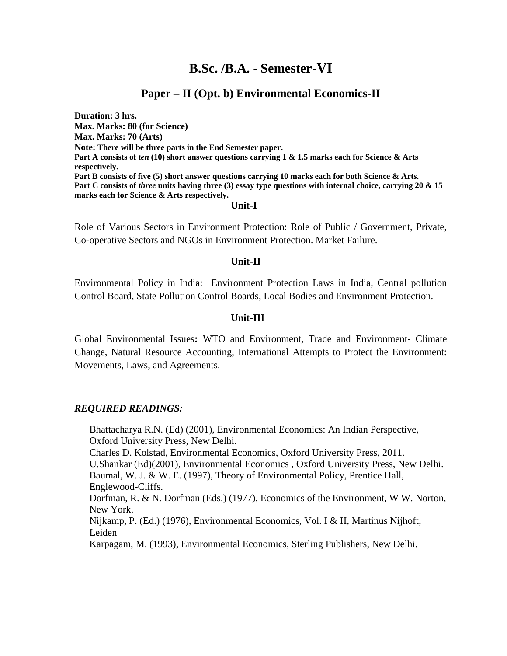## **B.Sc. /B.A. - Semester-VI**

### **Paper – II (Opt. b) Environmental Economics-II**

**Duration: 3 hrs. Max. Marks: 80 (for Science) Max. Marks: 70 (Arts) Note: There will be three parts in the End Semester paper. Part A consists of** *ten* **(10) short answer questions carrying 1 & 1.5 marks each for Science & Arts respectively. Part B consists of five (5) short answer questions carrying 10 marks each for both Science & Arts. Part C consists of** *three* **units having three (3) essay type questions with internal choice, carrying 20 & 15 marks each for Science & Arts respectively.**

### **Unit-I**

Role of Various Sectors in Environment Protection: Role of Public / Government, Private, Co-operative Sectors and NGOs in Environment Protection. Market Failure.

#### **Unit-II**

Environmental Policy in India: Environment Protection Laws in India, Central pollution Control Board, State Pollution Control Boards, Local Bodies and Environment Protection.

### **Unit-III**

Global Environmental Issues**:** WTO and Environment, Trade and Environment- Climate Change, Natural Resource Accounting, International Attempts to Protect the Environment: Movements, Laws, and Agreements.

### *REQUIRED READINGS:*

Bhattacharya R.N. (Ed) (2001), Environmental Economics: An Indian Perspective, Oxford University Press, New Delhi. [Charles D. Kolstad,](https://www.google.co.in/search?tbo=p&tbm=bks&q=inauthor:%22Charles+D.+Kolstad%22) Environmental Economics, Oxford University Press, 2011. U.Shankar (Ed)(2001), Environmental Economics , Oxford University Press, New Delhi. Baumal, W. J. & W. E. (1997), Theory of Environmental Policy, Prentice Hall, Englewood-Cliffs. Dorfman, R. & N. Dorfman (Eds.) (1977), Economics of the Environment, W W. Norton, New York. Nijkamp, P. (Ed.) (1976), Environmental Economics, Vol. I & II, Martinus Nijhoft, Leiden Karpagam, M. (1993), Environmental Economics, Sterling Publishers, New Delhi.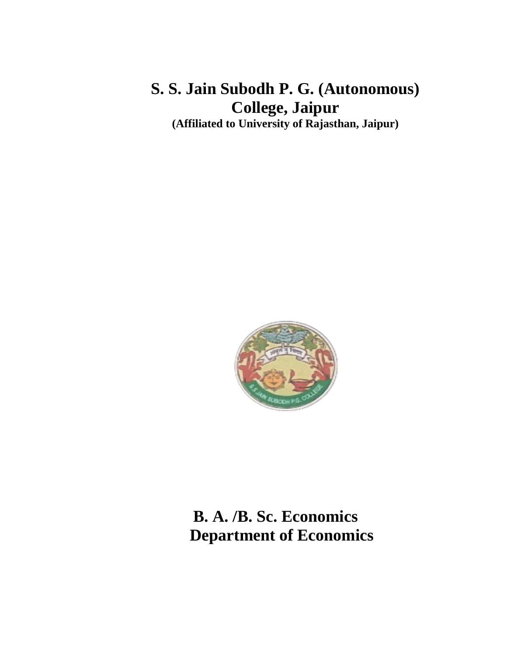## **S. S. Jain Subodh P. G. (Autonomous) College, Jaipur (Affiliated to University of Rajasthan, Jaipur)**

# **B. A. /B. Sc. Economics Department of Economics**